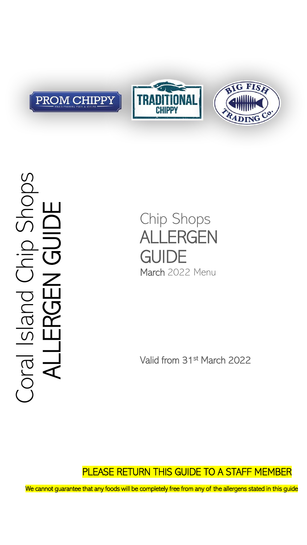





# Coral Island Chip Shops Shops ALLERGEN GUIDE Crailsland<br>ALLERGEN

Chip Shops ALLERGEN **GUIDE** March 2022 Menu

Valid from 31st March 2022

### PLEASE RETURN THIS GUIDE TO A STAFF MEMBER

We cannot guarantee that any foods will be completely free from any of the allergens stated in this guide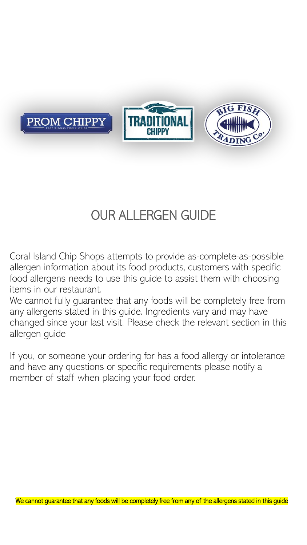

## OUR ALLERGEN GUIDE

Coral Island Chip Shops attempts to provide as-complete-as-possible allergen information about its food products, customers with specific food allergens needs to use this guide to assist them with choosing items in our restaurant.

We cannot fully guarantee that any foods will be completely free from any allergens stated in this guide. Ingredients vary and may have changed since your last visit. Please check the relevant section in this allergen guide

If you, or someone your ordering for has a food allergy or intolerance and have any questions or specific requirements please notify a member of staff when placing your food order.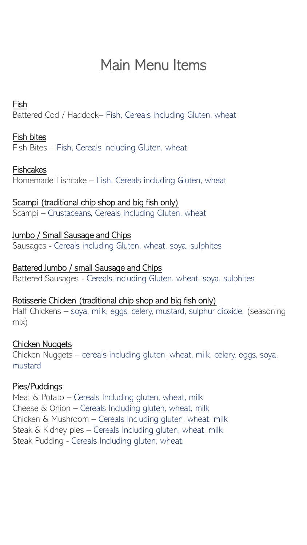## Main Menu Items

#### Fish

Battered Cod / Haddock– Fish, Cereals including Gluten, wheat

#### Fish bites

Fish Bites – Fish, Cereals including Gluten, wheat

#### **Fishcakes**

Homemade Fishcake – Fish, Cereals including Gluten, wheat

#### Scampi (traditional chip shop and big fish only)

Scampi – Crustaceans, Cereals including Gluten, wheat

#### Jumbo / Small Sausage and Chips

Sausages - Cereals including Gluten, wheat, soya, sulphites

#### Battered Jumbo / small Sausage and Chips

Battered Sausages - Cereals including Gluten, wheat, soya, sulphites

#### Rotisserie Chicken (traditional chip shop and big fish only)

Half Chickens – soya, milk, eggs, celery, mustard, sulphur dioxide, (seasoning mix)

#### Chicken Nuggets

Chicken Nuggets – cereals including gluten, wheat, milk, celery, eggs, soya, mustard

#### Pies/Puddings

Meat & Potato – Cereals Including gluten, wheat, milk Cheese & Onion – Cereals Including gluten, wheat, milk Chicken & Mushroom – Cereals Including gluten, wheat, milk Steak & Kidney pies – Cereals Including gluten, wheat, milk Steak Pudding - Cereals Including gluten, wheat.